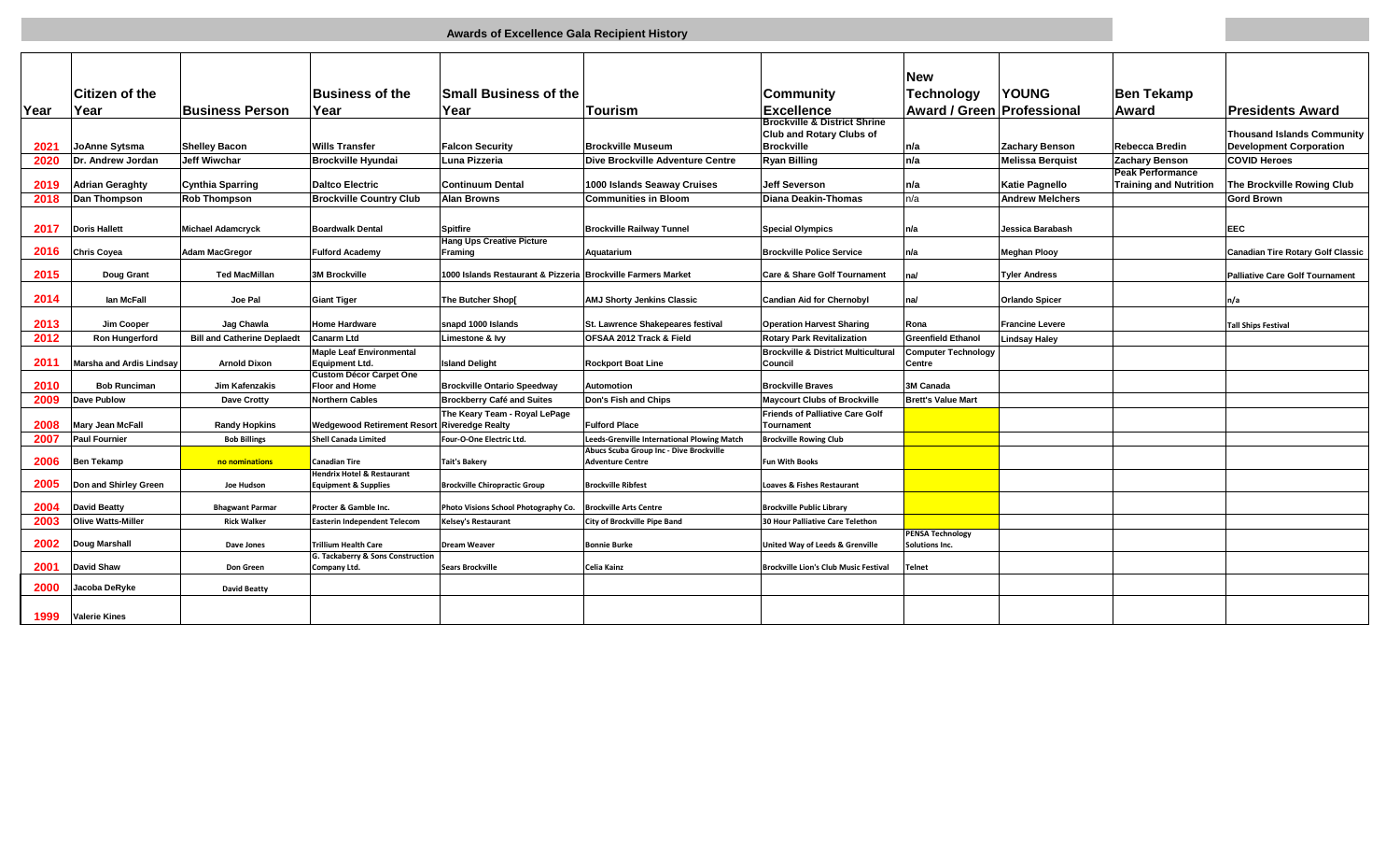|              |                                 |                                    |                                                         |                                                              |                                                                                        |                                                                            | <b>New</b>                                |                         |                               |                                          |
|--------------|---------------------------------|------------------------------------|---------------------------------------------------------|--------------------------------------------------------------|----------------------------------------------------------------------------------------|----------------------------------------------------------------------------|-------------------------------------------|-------------------------|-------------------------------|------------------------------------------|
|              | <b>Citizen of the</b>           |                                    | <b>Business of the</b>                                  | <b>Small Business of the</b>                                 |                                                                                        | <b>Community</b>                                                           | <b>Technology</b>                         | <b>YOUNG</b>            | <b>Ben Tekamp</b>             |                                          |
| <b>IYear</b> | Year                            | <b>Business Person</b>             | Year                                                    | Year                                                         | lTourism                                                                               | <b>Excellence</b>                                                          | <b>Award / Green Professional</b>         |                         | <b>Award</b>                  | <b>Presidents Award</b>                  |
|              |                                 |                                    |                                                         |                                                              |                                                                                        | <b>Brockville &amp; District Shrine</b><br><b>Club and Rotary Clubs of</b> |                                           |                         |                               | <b>Thousand Islands Community</b>        |
| 2021         | JoAnne Sytsma                   | <b>Shelley Bacon</b>               | <b>Wills Transfer</b>                                   | <b>Falcon Security</b>                                       | <b>Brockville Museum</b>                                                               | <b>Brockville</b>                                                          | n/a                                       | <b>Zachary Benson</b>   | <b>Rebecca Bredin</b>         | <b>Development Corporation</b>           |
| 2020         | Dr. Andrew Jordan               | <b>Jeff Wiwchar</b>                | <b>Brockville Hyundai</b>                               | Luna Pizzeria                                                | Dive Brockville Adventure Centre                                                       | <b>Ryan Billing</b>                                                        | n/a                                       | <b>Melissa Berguist</b> | Zachary Benson                | <b>COVID Heroes</b>                      |
|              |                                 |                                    |                                                         |                                                              |                                                                                        |                                                                            |                                           |                         | <b>Peak Performance</b>       |                                          |
| 2019         | <b>Adrian Geraghty</b>          | <b>Cynthia Sparring</b>            | <b>Daltco Electric</b>                                  | <b>Continuum Dental</b>                                      | 1000 Islands Seaway Cruises                                                            | <b>Jeff Severson</b>                                                       | n/a                                       | <b>Katie Pagnello</b>   | <b>Training and Nutrition</b> | The Brockville Rowing Club               |
| 2018         | Dan Thompson                    | <b>Rob Thompson</b>                | <b>Brockville Country Club</b>                          | <b>Alan Browns</b>                                           | <b>Communities in Bloom</b>                                                            | Diana Deakin-Thomas                                                        | n/a                                       | <b>Andrew Melchers</b>  |                               | <b>Gord Brown</b>                        |
|              |                                 |                                    |                                                         |                                                              |                                                                                        |                                                                            |                                           |                         |                               |                                          |
| 2017         | <b>Doris Hallett</b>            | <b>Michael Adamcryck</b>           | <b>Boardwalk Dental</b>                                 | <b>Spitfire</b>                                              | <b>Brockville Railway Tunnel</b>                                                       | <b>Special Olympics</b>                                                    | n/a                                       | Jessica Barabash        |                               | EEC                                      |
| 2016         | <b>Chris Covea</b>              | <b>Adam MacGregor</b>              | <b>Fulford Academy</b>                                  | <b>Hang Ups Creative Picture</b><br>Framing                  | Aquatarium                                                                             | <b>Brockville Police Service</b>                                           | n/a                                       | <b>Meghan Plooy</b>     |                               | <b>Canadian Tire Rotary Golf Classic</b> |
|              |                                 |                                    |                                                         |                                                              |                                                                                        |                                                                            |                                           |                         |                               |                                          |
| 2015         | Doug Grant                      | <b>Ted MacMillan</b>               | <b>3M Brockville</b>                                    | 1000 Islands Restaurant & Pizzeria Brockville Farmers Market |                                                                                        | Care & Share Golf Tournament                                               | na/                                       | <b>Tyler Andress</b>    |                               | <b>Palliative Care Golf Tournament</b>   |
|              |                                 |                                    |                                                         |                                                              |                                                                                        |                                                                            |                                           |                         |                               |                                          |
| 2014         | lan McFall                      | Joe Pal                            | <b>Giant Tiger</b>                                      | The Butcher Shop[                                            | <b>AMJ Shorty Jenkins Classic</b>                                                      | <b>Candian Aid for Chernobyl</b>                                           | na/                                       | <b>Orlando Spicer</b>   |                               | n/a                                      |
| 2013         | Jim Cooper                      | Jag Chawla                         | <b>Home Hardware</b>                                    | snapd 1000 Islands                                           | St. Lawrence Shakepeares festival                                                      | <b>Operation Harvest Sharing</b>                                           | Rona                                      | <b>Francine Levere</b>  |                               | <b>Tall Ships Festival</b>               |
| 2012         | <b>Ron Hungerford</b>           | <b>Bill and Catherine Deplaedt</b> | Canarm Ltd                                              | Limestone & Ivy                                              | OFSAA 2012 Track & Field                                                               | <b>Rotary Park Revitalization</b>                                          | <b>Greenfield Ethanol</b>                 | <b>Lindsay Haley</b>    |                               |                                          |
|              |                                 |                                    | <b>Maple Leaf Environmental</b>                         |                                                              |                                                                                        | <b>Brockville &amp; District Multicultural</b>                             | <b>Computer Technology</b>                |                         |                               |                                          |
| 2011         | <b>Marsha and Ardis Lindsav</b> | <b>Arnold Dixon</b>                | <b>Equipment Ltd.</b>                                   | <b>Island Delight</b>                                        | <b>Rockport Boat Line</b>                                                              | Council                                                                    | Centre                                    |                         |                               |                                          |
| 2010         | <b>Bob Runciman</b>             | Jim Kafenzakis                     | <b>Custom Décor Carpet One</b><br><b>Floor and Home</b> | <b>Brockville Ontario Speedway</b>                           | <b>Automotion</b>                                                                      | <b>Brockville Braves</b>                                                   | 3M Canada                                 |                         |                               |                                          |
| 2009         | <b>Dave Publow</b>              | <b>Dave Crotty</b>                 | <b>Northern Cables</b>                                  | <b>Brockberry Café and Suites</b>                            | Don's Fish and Chips                                                                   | <b>Maycourt Clubs of Brockville</b>                                        | <b>Brett's Value Mart</b>                 |                         |                               |                                          |
|              |                                 |                                    |                                                         | The Keary Team - Royal LePage                                |                                                                                        | <b>Friends of Palliative Care Golf</b>                                     |                                           |                         |                               |                                          |
| 2008         | <b>Mary Jean McFall</b>         | <b>Randy Hopkins</b>               | <b>Wedgewood Retirement Resort</b>                      | <b>Riveredge Realty</b>                                      | <b>Fulford Place</b>                                                                   | Tournament                                                                 |                                           |                         |                               |                                          |
| 2007         | <b>Paul Fournier</b>            | <b>Bob Billings</b>                | <b>Shell Canada Limited</b>                             | Four-O-One Electric Ltd.                                     | Leeds-Grenville International Plowing Match<br>Abucs Scuba Group Inc - Dive Brockville | <b>Brockville Rowing Club</b>                                              |                                           |                         |                               |                                          |
| 2006         | <b>Ben Tekamp</b>               | no nominations                     | <b>Canadian Tire</b>                                    | <b>Tait's Bakery</b>                                         | <b>Adventure Centre</b>                                                                | <b>Fun With Books</b>                                                      |                                           |                         |                               |                                          |
|              |                                 |                                    | <b>Hendrix Hotel &amp; Restaurant</b>                   |                                                              |                                                                                        |                                                                            |                                           |                         |                               |                                          |
| 2005         | Don and Shirley Green           | Joe Hudson                         | <b>Equipment &amp; Supplies</b>                         | <b>Brockville Chiropractic Group</b>                         | <b>Brockville Ribfest</b>                                                              | <b>Loaves &amp; Fishes Restaurant</b>                                      |                                           |                         |                               |                                          |
| 2004         | <b>David Beatty</b>             | <b>Bhagwant Parmar</b>             | Procter & Gamble Inc.                                   | Photo Visions School Photography Co.                         | <b>Brockville Arts Centre</b>                                                          | <b>Brockville Public Library</b>                                           |                                           |                         |                               |                                          |
| 2003         | <b>Olive Watts-Miller</b>       | <b>Rick Walker</b>                 | <b>Easterin Independent Telecom</b>                     | Kelsey's Restaurant                                          | City of Brockville Pipe Band                                                           | 30 Hour Palliative Care Telethon                                           |                                           |                         |                               |                                          |
| 2002         | Doug Marshall                   | Dave Jones                         | Trillium Health Care                                    | <b>Dream Weaver</b>                                          | <b>Bonnie Burke</b>                                                                    | United Way of Leeds & Grenville                                            | <b>PENSA Technology</b><br>Solutions Inc. |                         |                               |                                          |
|              |                                 |                                    | G. Tackaberry & Sons Construction                       |                                                              |                                                                                        |                                                                            |                                           |                         |                               |                                          |
| 2001         | <b>David Shaw</b>               | <b>Don Green</b>                   | Company Ltd.                                            | <b>Sears Brockville</b>                                      | Celia Kainz                                                                            | <b>Brockville Lion's Club Music Festival</b>                               | <b>Telnet</b>                             |                         |                               |                                          |
| 2000         | Jacoba DeRyke                   | <b>David Beatty</b>                |                                                         |                                                              |                                                                                        |                                                                            |                                           |                         |                               |                                          |
|              |                                 |                                    |                                                         |                                                              |                                                                                        |                                                                            |                                           |                         |                               |                                          |
| 1999         | <b>Valerie Kines</b>            |                                    |                                                         |                                                              |                                                                                        |                                                                            |                                           |                         |                               |                                          |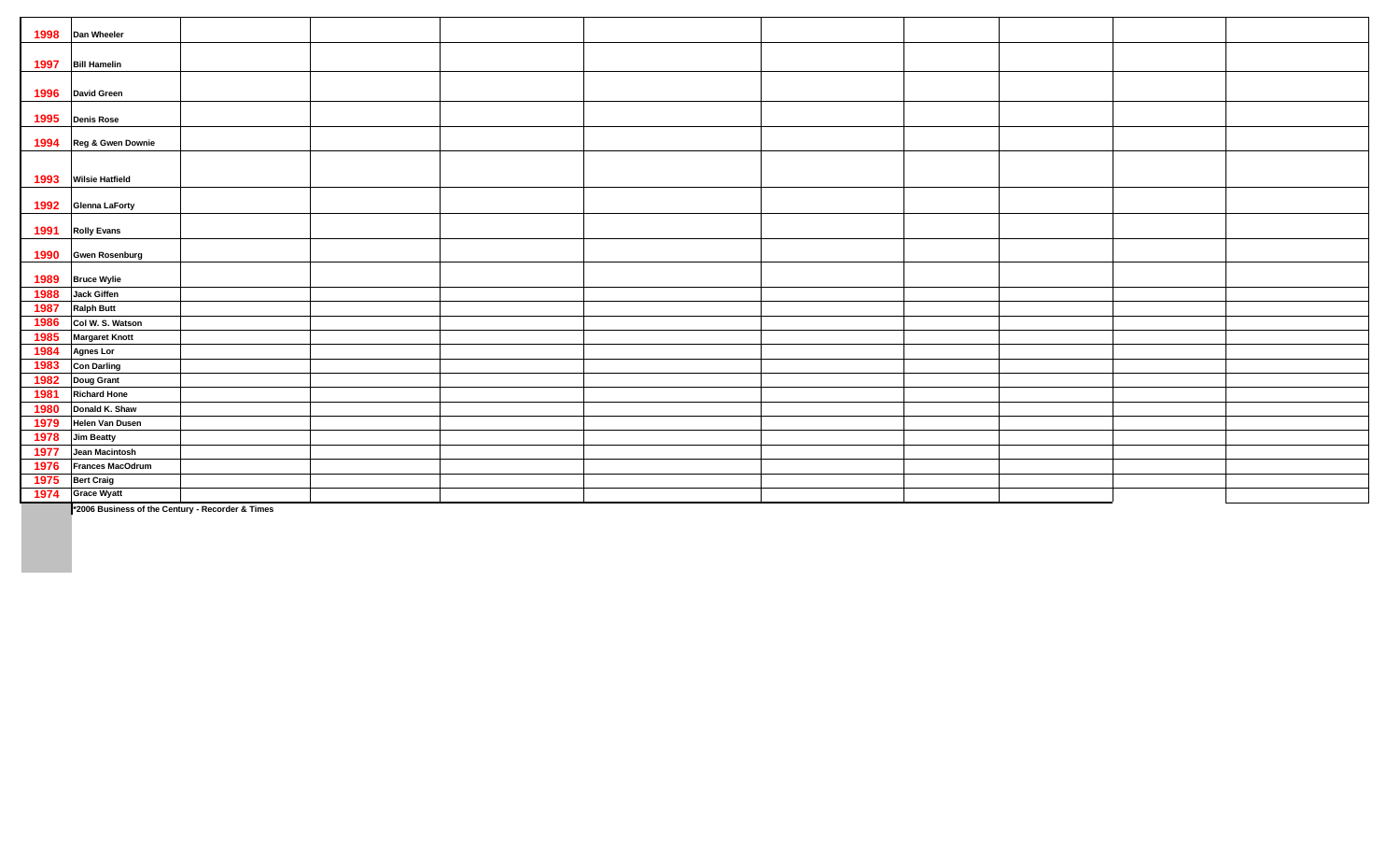| 1998 | Dan Wheeler            |  |  |  |  |
|------|------------------------|--|--|--|--|
| 1997 | <b>Bill Hamelin</b>    |  |  |  |  |
| 1996 | <b>David Green</b>     |  |  |  |  |
| 1995 | <b>Denis Rose</b>      |  |  |  |  |
| 1994 | Reg & Gwen Downie      |  |  |  |  |
| 1993 | <b>Wilsie Hatfield</b> |  |  |  |  |
| 1992 | <b>Glenna LaForty</b>  |  |  |  |  |
| 1991 | <b>Rolly Evans</b>     |  |  |  |  |
| 1990 | <b>Gwen Rosenburg</b>  |  |  |  |  |
| 1989 | <b>Bruce Wylie</b>     |  |  |  |  |
| 1988 | <b>Jack Giffen</b>     |  |  |  |  |
| 1987 | <b>Ralph Butt</b>      |  |  |  |  |
| 1986 | Col W. S. Watson       |  |  |  |  |
| 1985 | <b>Margaret Knott</b>  |  |  |  |  |
| 1984 | <b>Agnes Lor</b>       |  |  |  |  |
| 1983 | <b>Con Darling</b>     |  |  |  |  |
| 1982 | <b>Doug Grant</b>      |  |  |  |  |
| 1981 | <b>Richard Hone</b>    |  |  |  |  |
| 1980 | Donald K. Shaw         |  |  |  |  |
| 1979 | Helen Van Dusen        |  |  |  |  |
| 1978 | <b>Jim Beatty</b>      |  |  |  |  |
| 1977 | Jean Macintosh         |  |  |  |  |
| 1976 | Frances MacOdrum       |  |  |  |  |
| 1975 | <b>Bert Craig</b>      |  |  |  |  |
| 1974 | <b>Grace Wyatt</b>     |  |  |  |  |

**\*2006 Business of the Century - Recorder & Times**